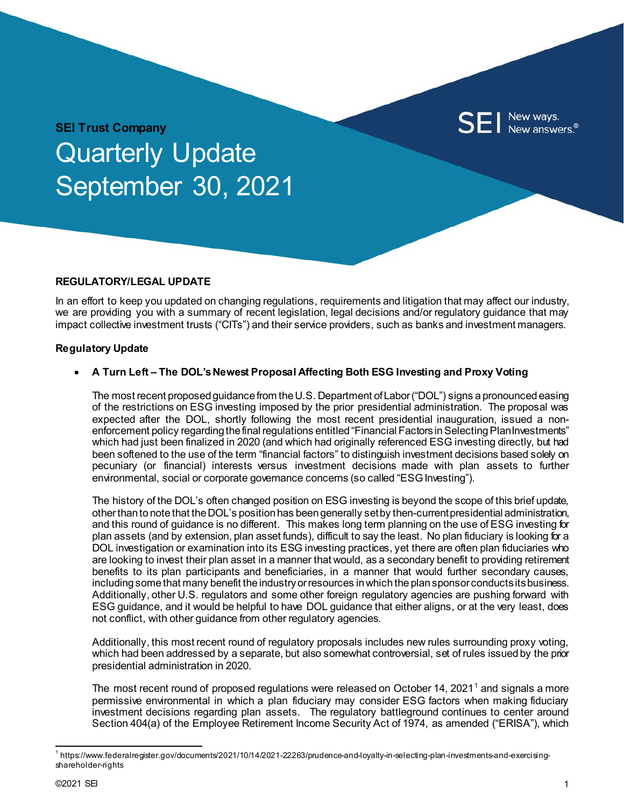

# **SEI Trust Company** Quarterly Update September 30, 2021

### **REGULATORY/LEGAL UPDATE**

In an effort to keep you updated on changing regulations, requirements and litigation that may affect our industry, we are providing you with a summary of recent legislation, legal decisions and/or regulatory guidance that may impact collective investment trusts ("CITs") and their service providers, such as banks and investment managers.

### **Regulatory Update**

### • **A Turn Left – The DOL's Newest Proposal Affecting Both ESG Investing and Proxy Voting**

The most recent proposed guidance from the U.S. Department of Labor ("DOL") signs a pronounced easing of the restrictions on ESG investing imposed by the prior presidential administration. The proposal was expected after the DOL, shortly following the most recent presidential inauguration, issued a nonenforcement policy regarding the final regulations entitled "Financial Factors in Selecting Plan Investments" which had just been finalized in 2020 (and which had originally referenced ESG investing directly, but had been softened to the use of the term "financial factors" to distinguish investment decisions based solely on pecuniary (or financial) interests versus investment decisions made with plan assets to further environmental, social or corporate governance concerns (so called "ESG Investing").

The history of the DOL's often changed position on ESG investing is beyond the scope of this brief update, other than to note that the DOL's position has been generally set by then-current presidential administration, and this round of guidance is no different. This makes long term planning on the use of ESG investing for plan assets (and by extension, plan asset funds), difficult to say the least. No plan fiduciary is looking for a DOL investigation or examination into its ESG investing practices, yet there are often plan fiduciaries who are looking to invest their plan asset in a manner that would, as a secondary benefit to providing retirement benefits to its plan participants and beneficiaries, in a manner that would further secondary causes, including some that many benefit the industry or resources in which the plan sponsor conducts its business. Additionally, other U.S. regulators and some other foreign regulatory agencies are pushing forward with ESG guidance, and it would be helpful to have DOL guidance that either aligns, or at the very least, does not conflict, with other guidance from other regulatory agencies.

Additionally, this most recent round of regulatory proposals includes new rules surrounding proxy voting, which had been addressed by a separate, but also somewhat controversial, set of rules issued by the prior presidential administration in 2020.

The most recent round of proposed regulations were released on October [1](#page-0-0)4, 2021<sup>1</sup> and signals a more permissive environmental in which a plan fiduciary may consider ESG factors when making fiduciary investment decisions regarding plan assets. The regulatory battleground continues to center around Section 404(a) of the Employee Retirement Income Security Act of 1974, as amended ("ERISA"), which

<span id="page-0-0"></span> $^{\rm 1}$ https://www.federalregister.gov/documents/2021/10/14/2021-22263/prudence-and-loyalty-in-selecting-plan-investments-and-exercisingshareholder-rights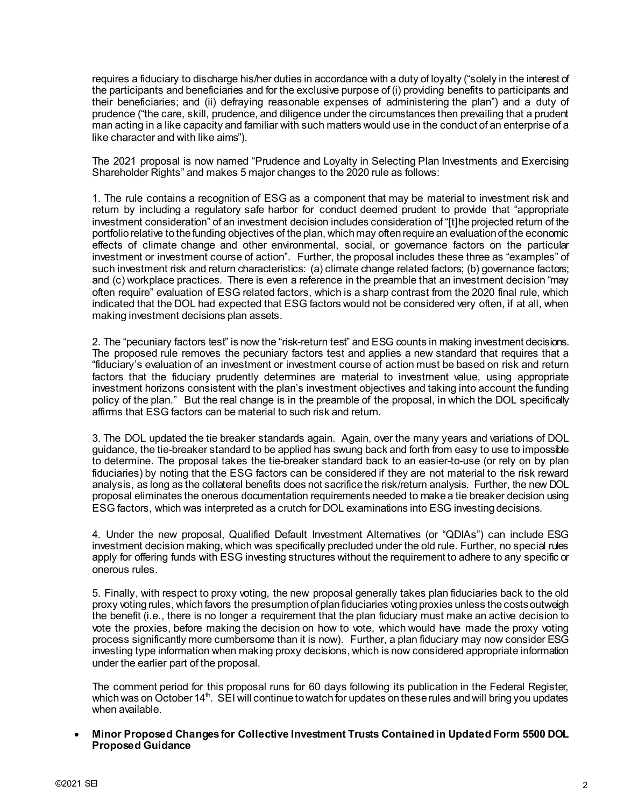requires a fiduciary to discharge his/her duties in accordance with a duty of loyalty ("solely in the interest of the participants and beneficiaries and for the exclusive purpose of (i) providing benefits to participants and their beneficiaries; and (ii) defraying reasonable expenses of administering the plan") and a duty of prudence ("the care, skill, prudence, and diligence under the circumstances then prevailing that a prudent man acting in a like capacity and familiar with such matters would use in the conduct of an enterprise of a like character and with like aims").

The 2021 proposal is now named "Prudence and Loyalty in Selecting Plan Investments and Exercising Shareholder Rights" and makes 5 major changes to the 2020 rule as follows:

1. The rule contains a recognition of ESG as a component that may be material to investment risk and return by including a regulatory safe harbor for conduct deemed prudent to provide that "appropriate investment consideration" of an investment decision includes consideration of "[t]he projected return of the portfolio relative to the funding objectives of the plan, which may often require an evaluation of the economic effects of climate change and other environmental, social, or governance factors on the particular investment or investment course of action". Further, the proposal includes these three as "examples" of such investment risk and return characteristics: (a) climate change related factors; (b) governance factors; and (c) workplace practices. There is even a reference in the preamble that an investment decision "may often require" evaluation of ESG related factors, which is a sharp contrast from the 2020 final rule, which indicated that the DOL had expected that ESG factors would not be considered very often, if at all, when making investment decisions plan assets.

2. The "pecuniary factors test" is now the "risk-return test" and ESG counts in making investment decisions. The proposed rule removes the pecuniary factors test and applies a new standard that requires that a "fiduciary's evaluation of an investment or investment course of action must be based on risk and return factors that the fiduciary prudently determines are material to investment value, using appropriate investment horizons consistent with the plan's investment objectives and taking into account the funding policy of the plan." But the real change is in the preamble of the proposal, in which the DOL specifically affirms that ESG factors can be material to such risk and return.

3. The DOL updated the tie breaker standards again. Again, over the many years and variations of DOL guidance, the tie-breaker standard to be applied has swung back and forth from easy to use to impossible to determine. The proposal takes the tie-breaker standard back to an easier-to-use (or rely on by plan fiduciaries) by noting that the ESG factors can be considered if they are not material to the risk reward analysis, as long as the collateral benefits does not sacrifice the risk/return analysis. Further, the new DOL proposal eliminates the onerous documentation requirements needed to make a tie breaker decision using ESG factors, which was interpreted as a crutch for DOL examinations into ESG investing decisions.

4. Under the new proposal, Qualified Default Investment Alternatives (or "QDIAs") can include ESG investment decision making, which was specifically precluded under the old rule. Further, no special rules apply for offering funds with ESG investing structures without the requirement to adhere to any specific or onerous rules.

5. Finally, with respect to proxy voting, the new proposal generally takes plan fiduciaries back to the old proxy voting rules, which favors the presumption of plan fiduciaries voting proxies unless the costs outweigh the benefit (i.e., there is no longer a requirement that the plan fiduciary must make an active decision to vote the proxies, before making the decision on how to vote, which would have made the proxy voting process significantly more cumbersome than it is now). Further, a plan fiduciary may now consider ESG investing type information when making proxy decisions, which is now considered appropriate information under the earlier part of the proposal.

The comment period for this proposal runs for 60 days following its publication in the Federal Register, which was on October 14<sup>th</sup>. SEI will continue to watch for updates on these rules and will bring you updates when available.

• **Minor Proposed Changes for Collective Investment Trusts Contained in Updated Form 5500 DOL Proposed Guidance**